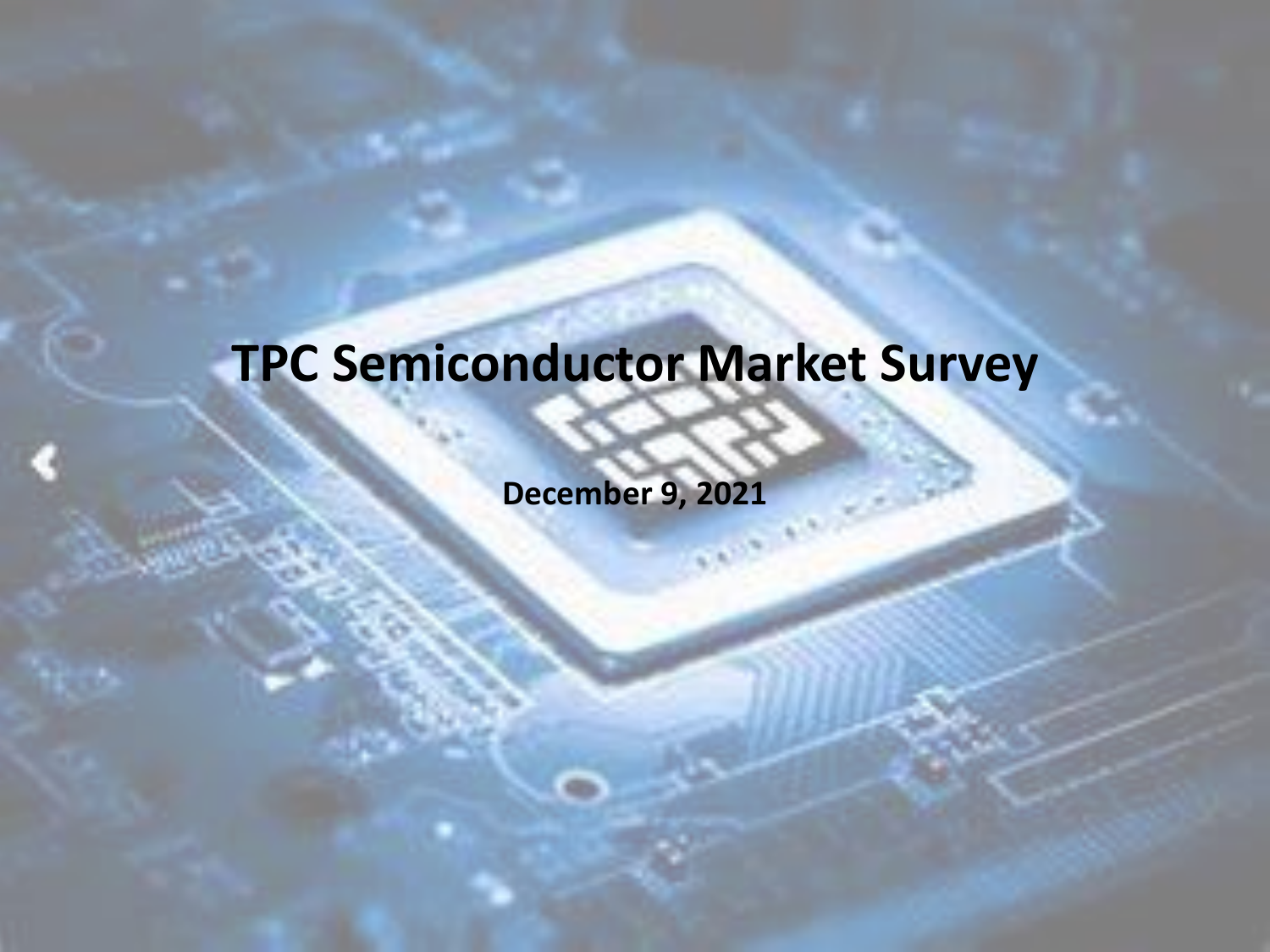## **TPC Semiconductor Market Survey**

**December 9, 2021**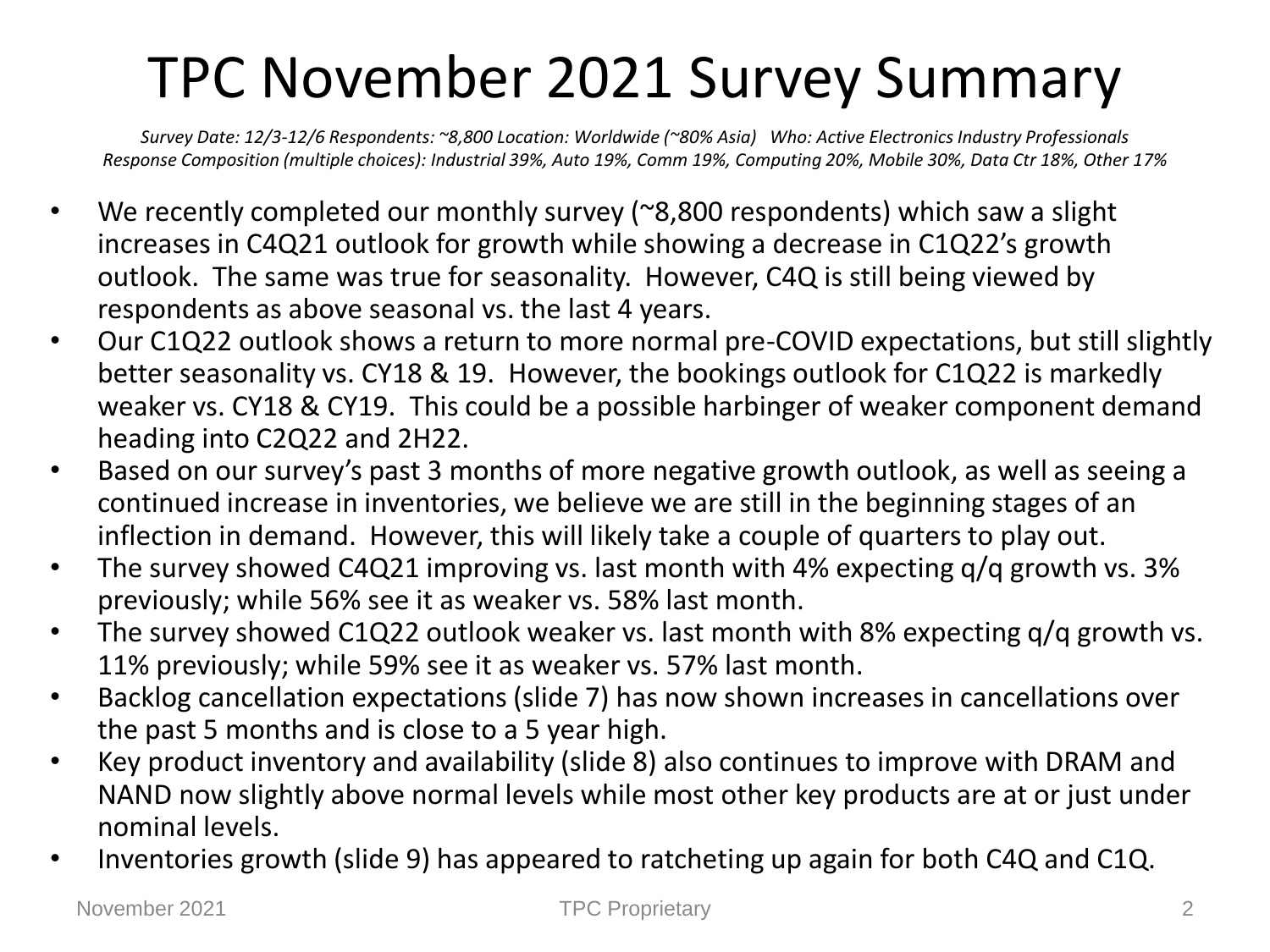## TPC November 2021 Survey Summary

*Survey Date: 12/3-12/6 Respondents: ~8,800 Location: Worldwide (~80% Asia) Who: Active Electronics Industry Professionals Response Composition (multiple choices): Industrial 39%, Auto 19%, Comm 19%, Computing 20%, Mobile 30%, Data Ctr 18%, Other 17%*

- We recently completed our monthly survey (~8,800 respondents) which saw a slight increases in C4Q21 outlook for growth while showing a decrease in C1Q22's growth outlook. The same was true for seasonality. However, C4Q is still being viewed by respondents as above seasonal vs. the last 4 years.
- Our C1Q22 outlook shows a return to more normal pre-COVID expectations, but still slightly better seasonality vs. CY18 & 19. However, the bookings outlook for C1Q22 is markedly weaker vs. CY18 & CY19. This could be a possible harbinger of weaker component demand heading into C2Q22 and 2H22.
- Based on our survey's past 3 months of more negative growth outlook, as well as seeing a continued increase in inventories, we believe we are still in the beginning stages of an inflection in demand. However, this will likely take a couple of quarters to play out.
- The survey showed C4Q21 improving vs. last month with 4% expecting q/q growth vs. 3% previously; while 56% see it as weaker vs. 58% last month.
- The survey showed C1Q22 outlook weaker vs. last month with 8% expecting q/q growth vs. 11% previously; while 59% see it as weaker vs. 57% last month.
- Backlog cancellation expectations (slide 7) has now shown increases in cancellations over the past 5 months and is close to a 5 year high.
- Key product inventory and availability (slide 8) also continues to improve with DRAM and NAND now slightly above normal levels while most other key products are at or just under nominal levels.
- Inventories growth (slide 9) has appeared to ratcheting up again for both C4Q and C1Q.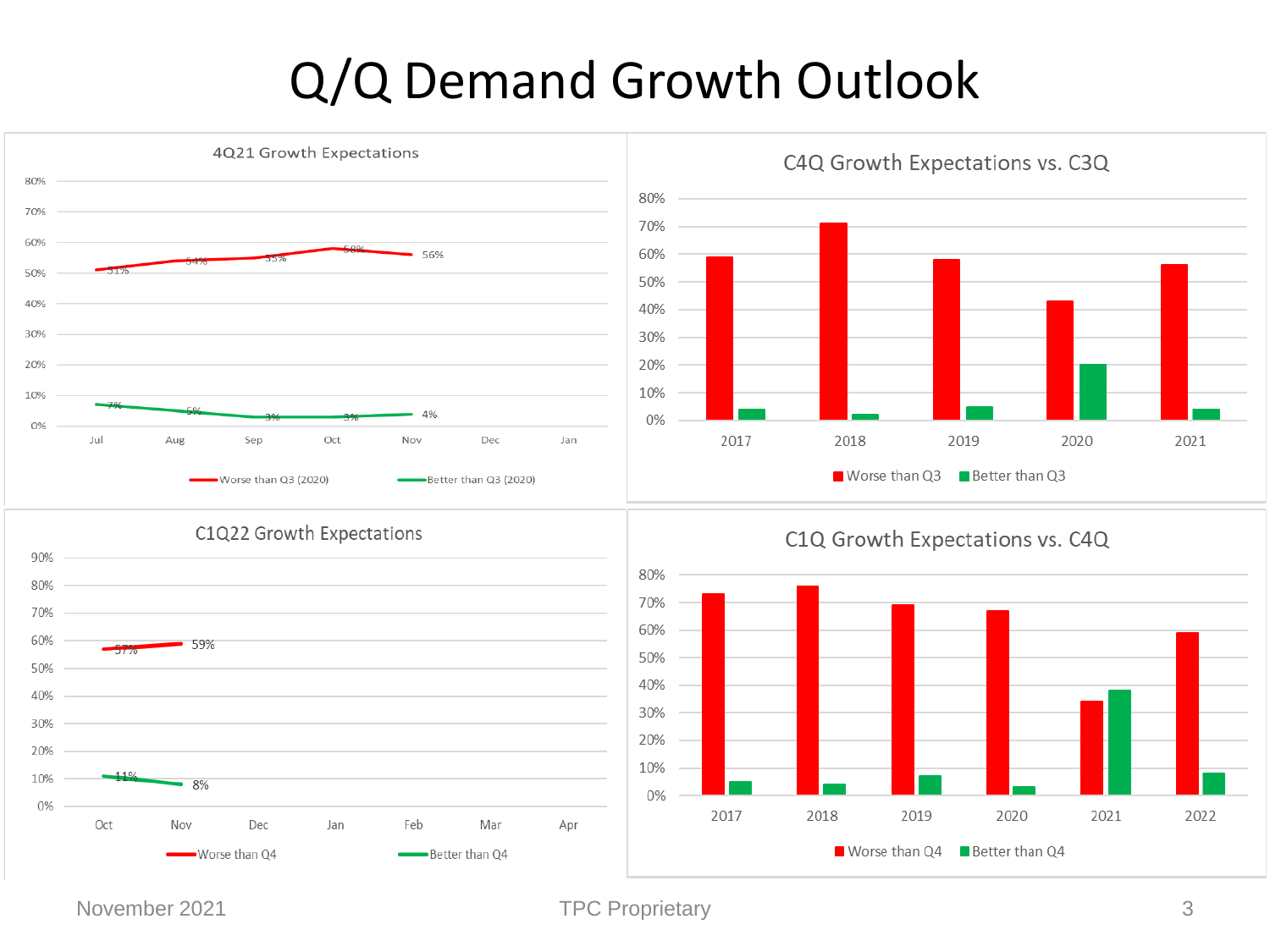### Q/Q Demand Growth Outlook

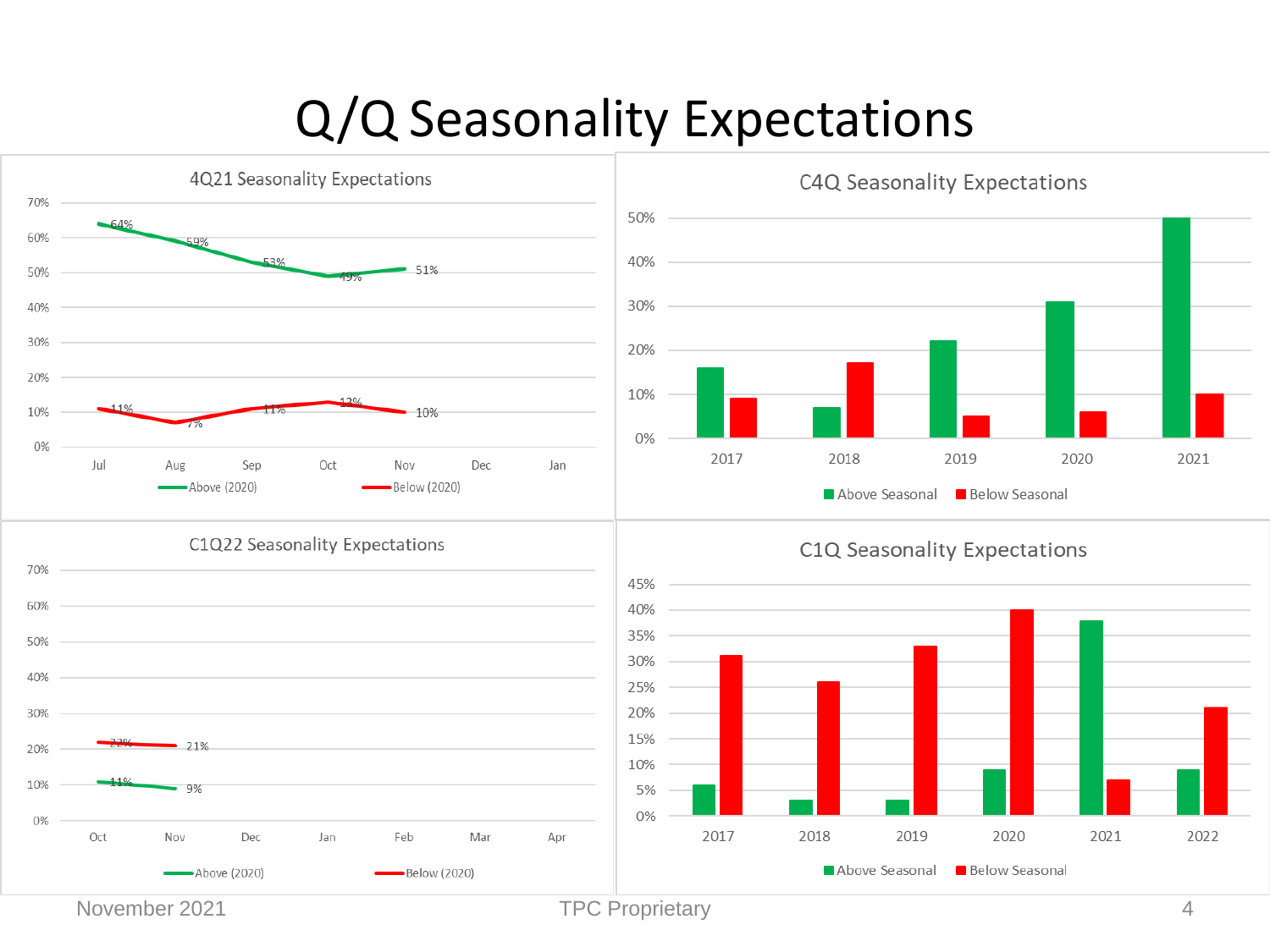### Q/Q Seasonality Expectations



November 2021 **TPC Proprietary TPC Proprietary** 4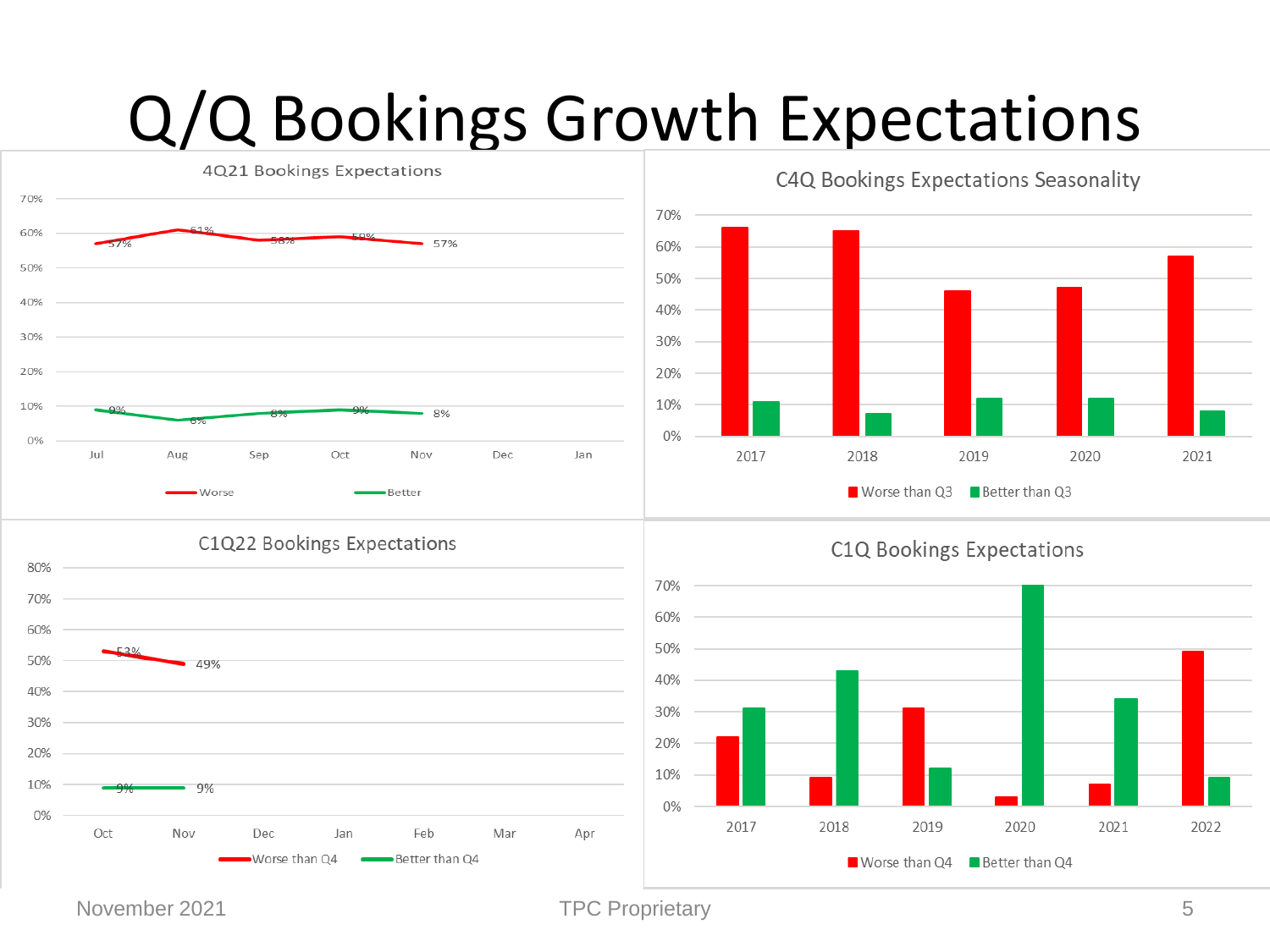# Q/Q Bookings Growth Expectations



#### C1Q22 Bookings Expectations





C1Q Bookings Expectations



#### November 2021 **TPC Proprietary** 5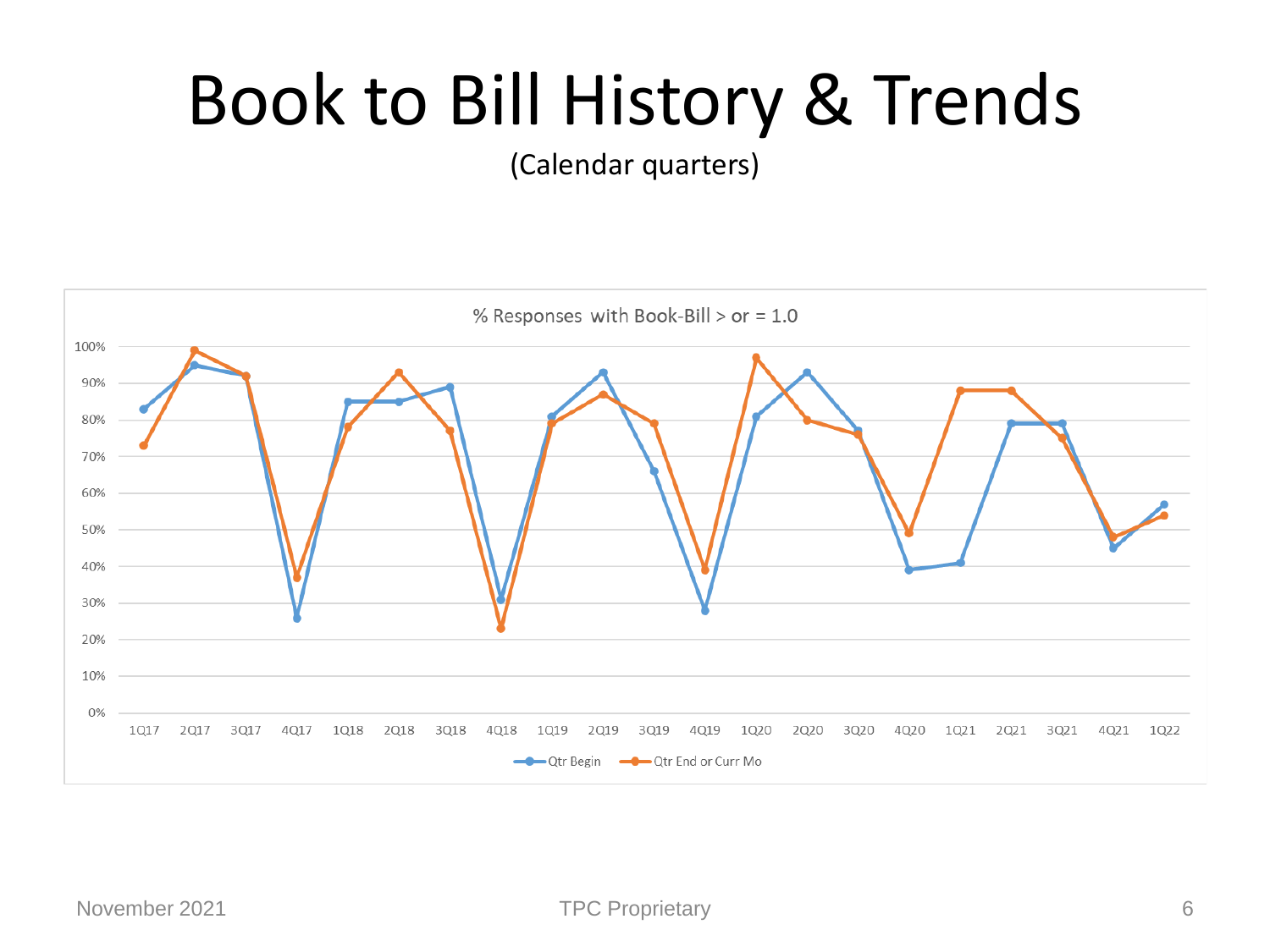# Book to Bill History & Trends

(Calendar quarters)

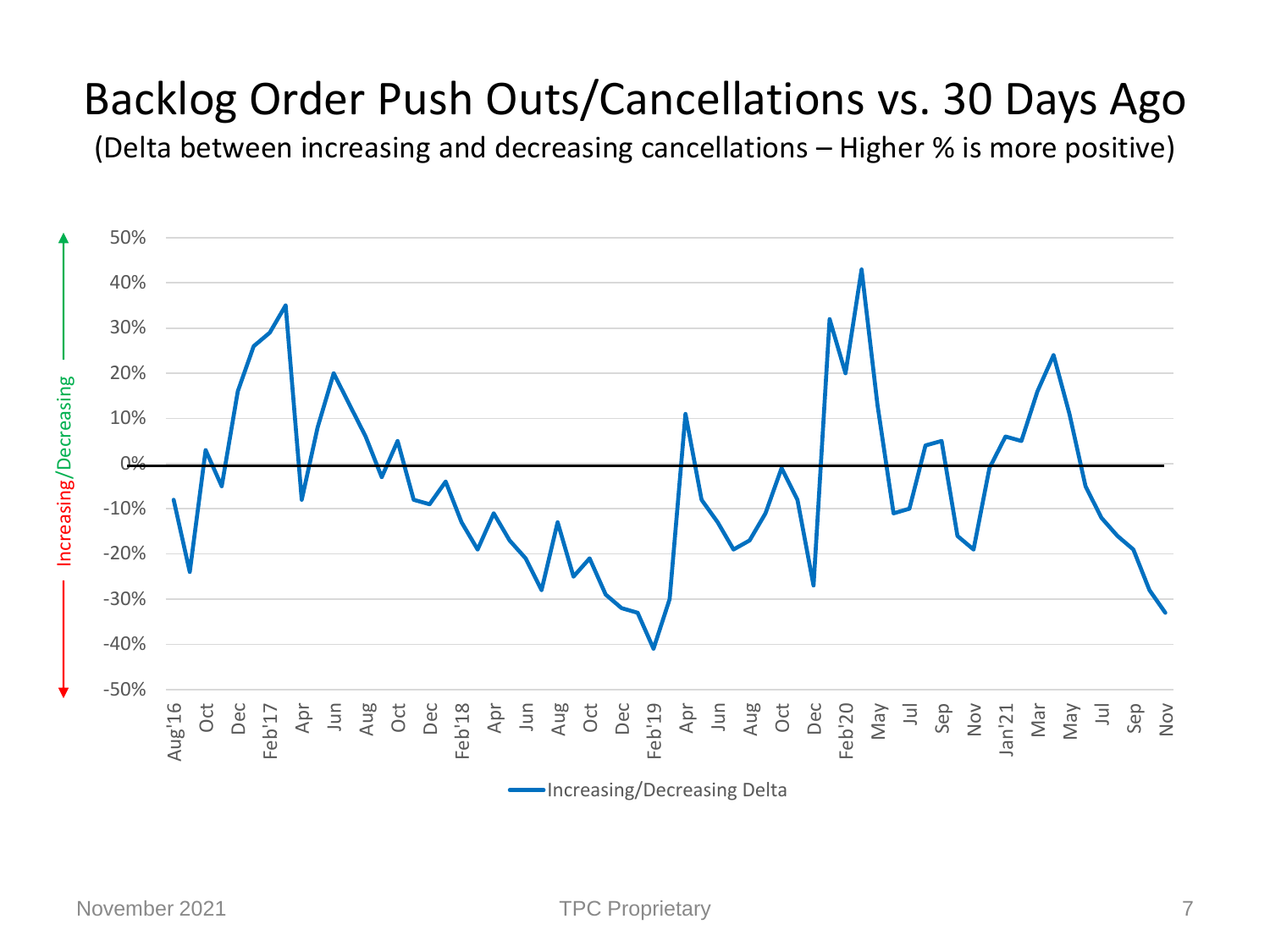#### Backlog Order Push Outs/Cancellations vs. 30 Days Ago

(Delta between increasing and decreasing cancellations – Higher % is more positive)

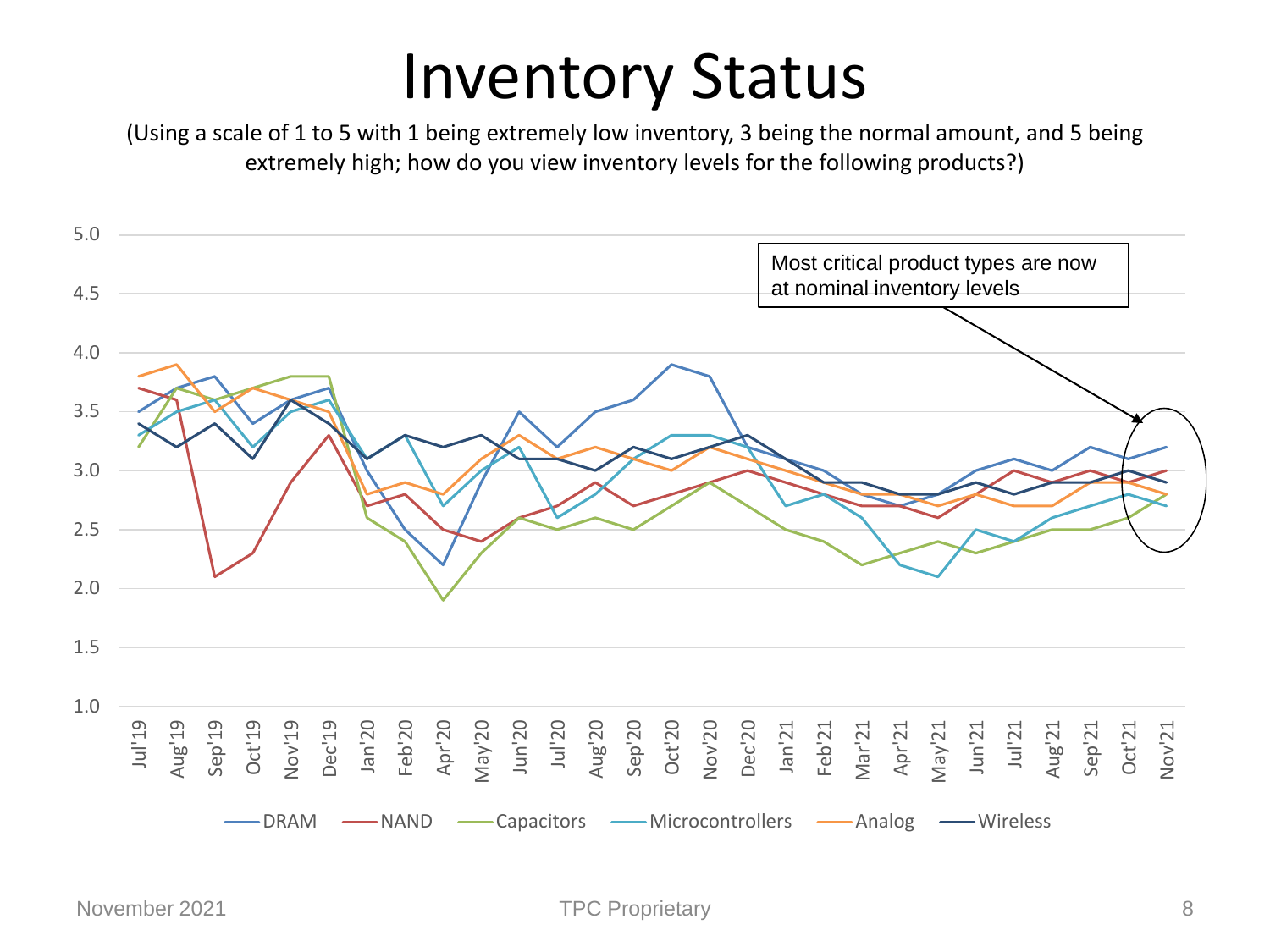## Inventory Status

(Using a scale of 1 to 5 with 1 being extremely low inventory, 3 being the normal amount, and 5 being extremely high; how do you view inventory levels for the following products?)

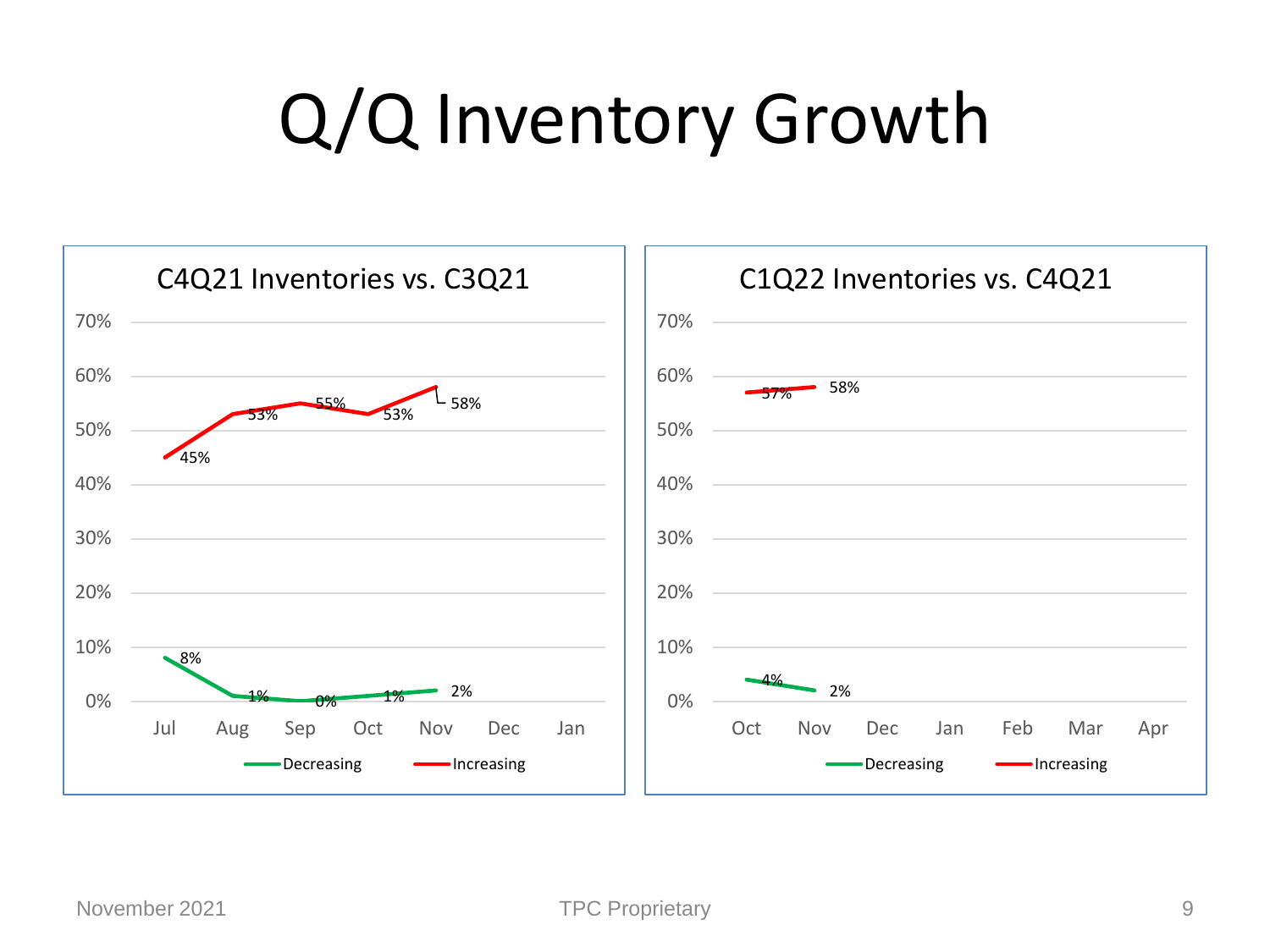# Q/Q Inventory Growth

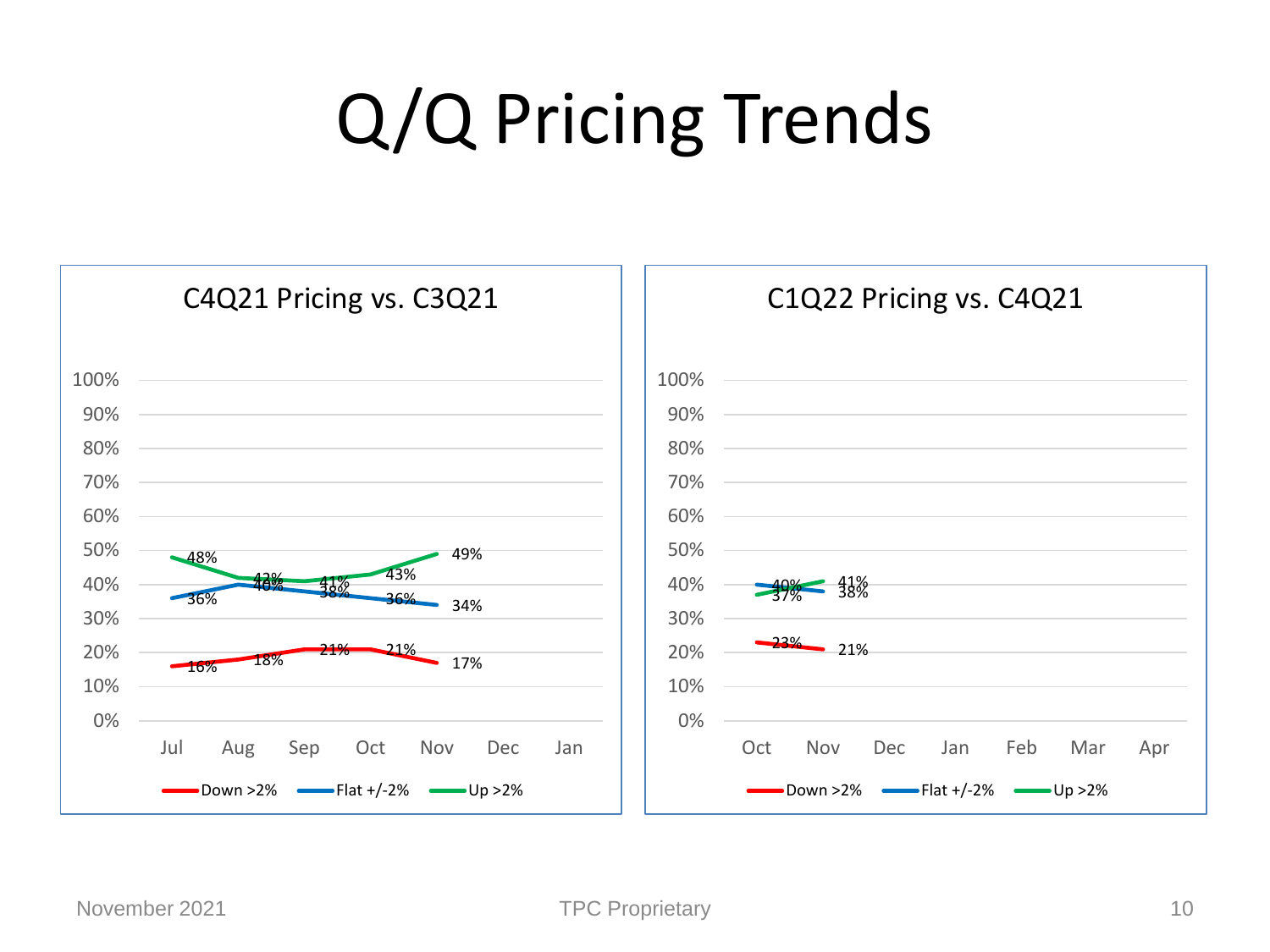# Q/Q Pricing Trends